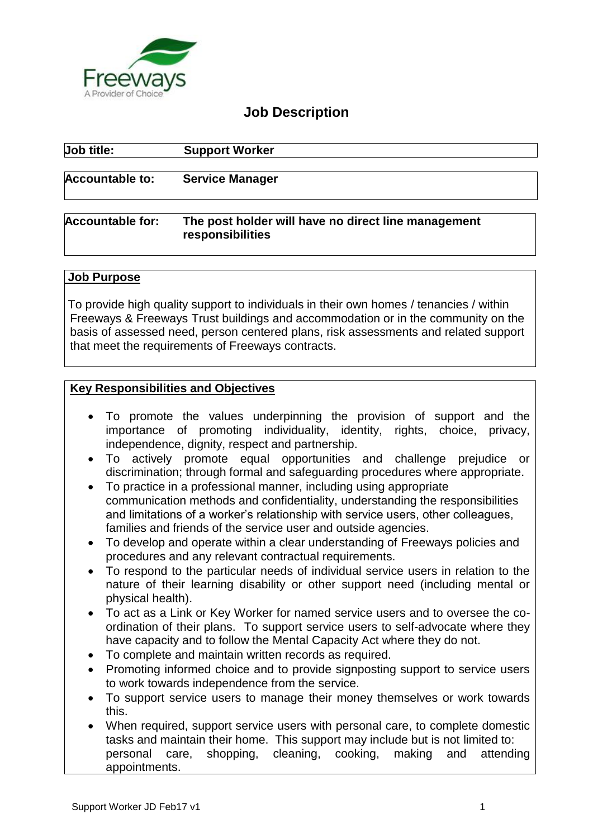

## **Job Description**

| Job title:              | <b>Support Worker</b>                                                   |  |
|-------------------------|-------------------------------------------------------------------------|--|
| <b>Accountable to:</b>  | <b>Service Manager</b>                                                  |  |
| <b>Accountable for:</b> | The post holder will have no direct line management<br>responsibilities |  |

#### **Job Purpose**

To provide high quality support to individuals in their own homes / tenancies / within Freeways & Freeways Trust buildings and accommodation or in the community on the basis of assessed need, person centered plans, risk assessments and related support that meet the requirements of Freeways contracts.

#### **Key Responsibilities and Objectives**

- To promote the values underpinning the provision of support and the importance of promoting individuality, identity, rights, choice, privacy, independence, dignity, respect and partnership.
- To actively promote equal opportunities and challenge prejudice or discrimination; through formal and safeguarding procedures where appropriate.
- To practice in a professional manner, including using appropriate communication methods and confidentiality, understanding the responsibilities and limitations of a worker's relationship with service users, other colleagues, families and friends of the service user and outside agencies.
- To develop and operate within a clear understanding of Freeways policies and procedures and any relevant contractual requirements.
- To respond to the particular needs of individual service users in relation to the nature of their learning disability or other support need (including mental or physical health).
- To act as a Link or Key Worker for named service users and to oversee the coordination of their plans. To support service users to self-advocate where they have capacity and to follow the Mental Capacity Act where they do not.
- To complete and maintain written records as required.
- Promoting informed choice and to provide signposting support to service users to work towards independence from the service.
- To support service users to manage their money themselves or work towards this.
- When required, support service users with personal care, to complete domestic tasks and maintain their home. This support may include but is not limited to: personal care, shopping, cleaning, cooking, making and attending appointments.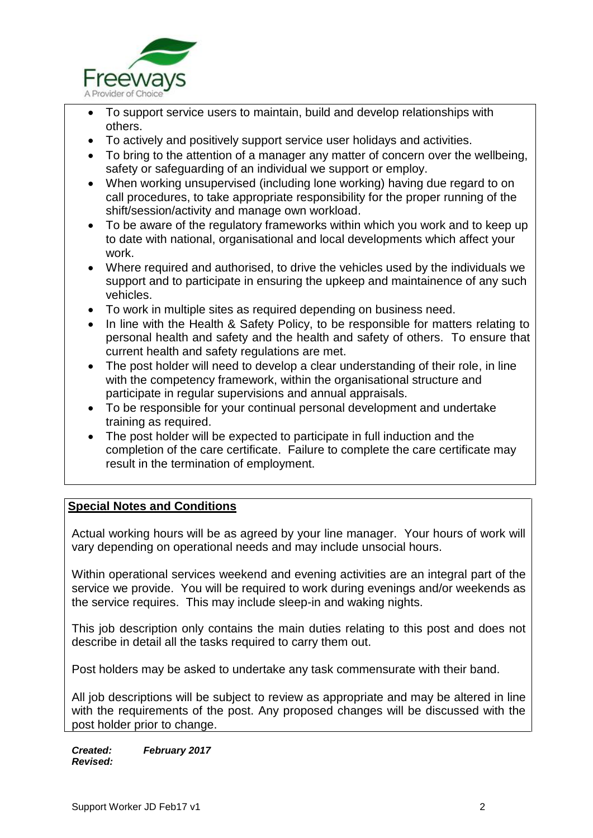

- To support service users to maintain, build and develop relationships with others.
- To actively and positively support service user holidays and activities.
- To bring to the attention of a manager any matter of concern over the wellbeing, safety or safeguarding of an individual we support or employ.
- When working unsupervised (including lone working) having due regard to on call procedures, to take appropriate responsibility for the proper running of the shift/session/activity and manage own workload.
- To be aware of the regulatory frameworks within which you work and to keep up to date with national, organisational and local developments which affect your work.
- Where required and authorised, to drive the vehicles used by the individuals we support and to participate in ensuring the upkeep and maintainence of any such vehicles.
- To work in multiple sites as required depending on business need.
- In line with the Health & Safety Policy, to be responsible for matters relating to personal health and safety and the health and safety of others. To ensure that current health and safety regulations are met.
- The post holder will need to develop a clear understanding of their role, in line with the competency framework, within the organisational structure and participate in regular supervisions and annual appraisals.
- To be responsible for your continual personal development and undertake training as required.
- The post holder will be expected to participate in full induction and the completion of the care certificate. Failure to complete the care certificate may result in the termination of employment.

### **Special Notes and Conditions**

Actual working hours will be as agreed by your line manager. Your hours of work will vary depending on operational needs and may include unsocial hours.

Within operational services weekend and evening activities are an integral part of the service we provide. You will be required to work during evenings and/or weekends as the service requires. This may include sleep-in and waking nights.

This job description only contains the main duties relating to this post and does not describe in detail all the tasks required to carry them out.

Post holders may be asked to undertake any task commensurate with their band.

All job descriptions will be subject to review as appropriate and may be altered in line with the requirements of the post. Any proposed changes will be discussed with the post holder prior to change.

*Created: February 2017 Revised:*